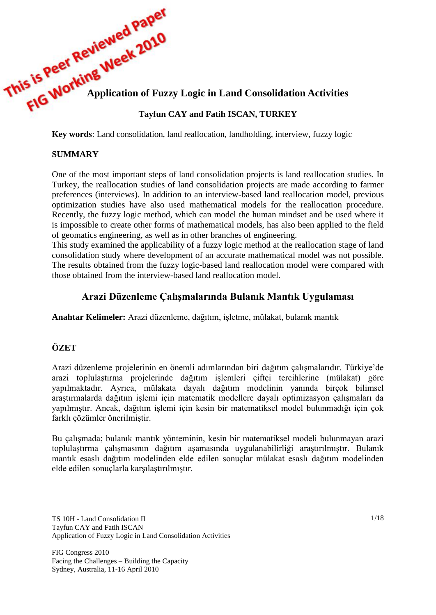# This is Peter Morking Week 2017<br>
FIG Working Application of Fuzzy Logic in Land Consolidation Activities

# **Tayfun CAY and Fatih ISCAN, TURKEY**

**Key words**: Land consolidation, land reallocation, landholding, interview, fuzzy logic

### **SUMMARY**

One of the most important steps of land consolidation projects is land reallocation studies. In Turkey, the reallocation studies of land consolidation projects are made according to farmer preferences (interviews). In addition to an interview-based land reallocation model, previous optimization studies have also used mathematical models for the reallocation procedure. Recently, the fuzzy logic method, which can model the human mindset and be used where it is impossible to create other forms of mathematical models, has also been applied to the field of geomatics engineering, as well as in other branches of engineering.

This study examined the applicability of a fuzzy logic method at the reallocation stage of land consolidation study where development of an accurate mathematical model was not possible. The results obtained from the fuzzy logic-based land reallocation model were compared with those obtained from the interview-based land reallocation model.

# **Arazi Düzenleme Çalışmalarında Bulanık Mantık Uygulaması**

**Anahtar Kelimeler:** Arazi düzenleme, dağıtım, işletme, mülakat, bulanık mantık

# **ÖZET**

Arazi düzenleme projelerinin en önemli adımlarından biri dağıtım çalışmalarıdır. Türkiye'de arazi toplulaştırma projelerinde dağıtım işlemleri çiftçi tercihlerine (mülakat) göre yapılmaktadır. Ayrıca, mülakata dayalı dağıtım modelinin yanında birçok bilimsel araştırmalarda dağıtım işlemi için matematik modellere dayalı optimizasyon çalışmaları da yapılmıştır. Ancak, dağıtım işlemi için kesin bir matematiksel model bulunmadığı için çok farklı çözümler önerilmiştir.

Bu çalışmada; bulanık mantık yönteminin, kesin bir matematiksel modeli bulunmayan arazi toplulaştırma çalışmasının dağıtım aşamasında uygulanabilirliği araştırılmıştır. Bulanık mantık esaslı dağıtım modelinden elde edilen sonuçlar mülakat esaslı dağıtım modelinden elde edilen sonuçlarla karşılaştırılmıştır.

TS 10H - Land Consolidation II Tayfun CAY and Fatih ISCAN Application of Fuzzy Logic in Land Consolidation Activities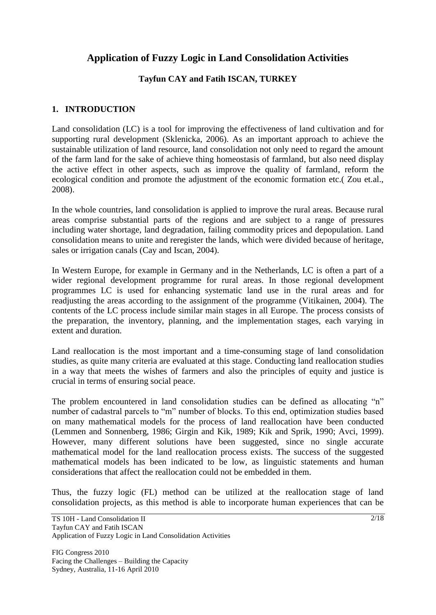# **Application of Fuzzy Logic in Land Consolidation Activities**

# **Tayfun CAY and Fatih ISCAN, TURKEY**

# **1. INTRODUCTION**

Land consolidation (LC) is a tool for improving the effectiveness of land cultivation and for supporting rural development (Sklenicka, 2006). As an important approach to achieve the sustainable utilization of land resource, land consolidation not only need to regard the amount of the farm land for the sake of achieve thing homeostasis of farmland, but also need display the active effect in other aspects, such as improve the quality of farmland, reform the ecological condition and promote the adjustment of the economic formation etc.( Zou et.al., 2008).

In the whole countries, land consolidation is applied to improve the rural areas. Because rural areas comprise substantial parts of the regions and are subject to a range of pressures including water shortage, land degradation, failing commodity prices and depopulation. Land consolidation means to unite and reregister the lands, which were divided because of heritage, sales or irrigation canals (Cay and Iscan, 2004).

In Western Europe, for example in Germany and in the Netherlands, LC is often a part of a wider regional development programme for rural areas. In those regional development programmes LC is used for enhancing systematic land use in the rural areas and for readjusting the areas according to the assignment of the programme (Vitikainen, 2004). The contents of the LC process include similar main stages in all Europe. The process consists of the preparation, the inventory, planning, and the implementation stages, each varying in extent and duration.

Land reallocation is the most important and a time-consuming stage of land consolidation studies, as quite many criteria are evaluated at this stage. Conducting land reallocation studies in a way that meets the wishes of farmers and also the principles of equity and justice is crucial in terms of ensuring social peace.

The problem encountered in land consolidation studies can be defined as allocating "n" number of cadastral parcels to "m" number of blocks. To this end, optimization studies based on many mathematical models for the process of land reallocation have been conducted (Lemmen and Sonnenberg, 1986; Girgin and Kik, 1989; Kik and Sprik, 1990; Avci, 1999). However, many different solutions have been suggested, since no single accurate mathematical model for the land reallocation process exists. The success of the suggested mathematical models has been indicated to be low, as linguistic statements and human considerations that affect the reallocation could not be embedded in them.

Thus, the fuzzy logic (FL) method can be utilized at the reallocation stage of land consolidation projects, as this method is able to incorporate human experiences that can be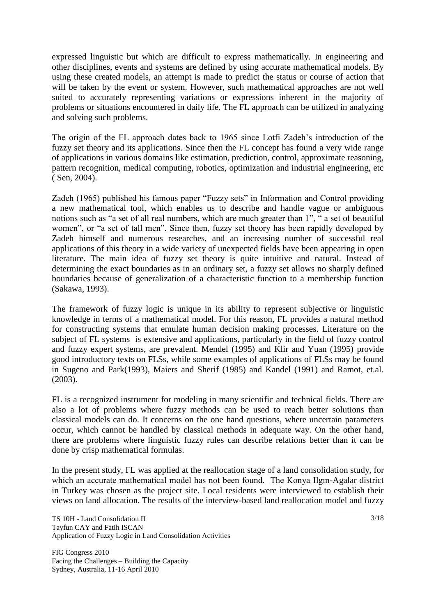expressed linguistic but which are difficult to express mathematically. In engineering and other disciplines, events and systems are defined by using accurate mathematical models. By using these created models, an attempt is made to predict the status or course of action that will be taken by the event or system. However, such mathematical approaches are not well suited to accurately representing variations or expressions inherent in the majority of problems or situations encountered in daily life. The FL approach can be utilized in analyzing and solving such problems.

The origin of the FL approach dates back to 1965 since Lotfi Zadeh's introduction of the fuzzy set theory and its applications. Since then the FL concept has found a very wide range of applications in various domains like estimation, prediction, control, approximate reasoning, pattern recognition, medical computing, robotics, optimization and industrial engineering, etc ( Sen, 2004).

Zadeh (1965) published his famous paper "Fuzzy sets" in Information and Control providing a new mathematical tool, which enables us to describe and handle vague or ambiguous notions such as "a set of all real numbers, which are much greater than 1", " a set of beautiful women", or "a set of tall men". Since then, fuzzy set theory has been rapidly developed by Zadeh himself and numerous researches, and an increasing number of successful real applications of this theory in a wide variety of unexpected fields have been appearing in open literature. The main idea of fuzzy set theory is quite intuitive and natural. Instead of determining the exact boundaries as in an ordinary set, a fuzzy set allows no sharply defined boundaries because of generalization of a characteristic function to a membership function (Sakawa, 1993).

The framework of fuzzy logic is unique in its ability to represent subjective or linguistic knowledge in terms of a mathematical model. For this reason, FL provides a natural method for constructing systems that emulate human decision making processes. Literature on the subject of FL systems is extensive and applications, particularly in the field of fuzzy control and fuzzy expert systems, are prevalent. Mendel (1995) and Klir and Yuan (1995) provide good introductory texts on FLSs, while some examples of applications of FLSs may be found in Sugeno and Park(1993), Maiers and Sherif (1985) and Kandel (1991) and Ramot, et.al. (2003).

FL is a recognized instrument for modeling in many scientific and technical fields. There are also a lot of problems where fuzzy methods can be used to reach better solutions than classical models can do. It concerns on the one hand questions, where uncertain parameters occur, which cannot be handled by classical methods in adequate way. On the other hand, there are problems where linguistic fuzzy rules can describe relations better than it can be done by crisp mathematical formulas.

In the present study, FL was applied at the reallocation stage of a land consolidation study, for which an accurate mathematical model has not been found. The Konya Ilgın-Agalar district in Turkey was chosen as the project site. Local residents were interviewed to establish their views on land allocation. The results of the interview-based land reallocation model and fuzzy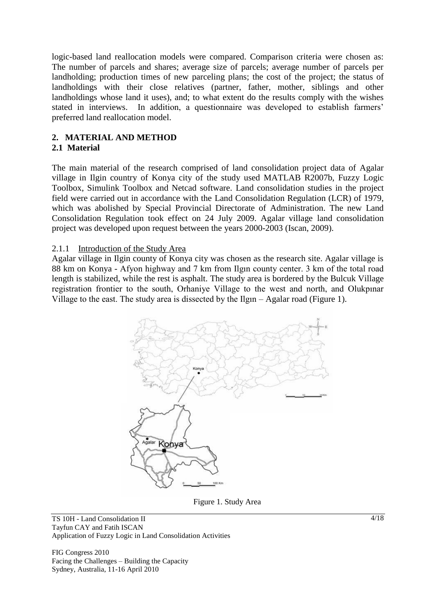logic-based land reallocation models were compared. Comparison criteria were chosen as: The number of parcels and shares; average size of parcels; average number of parcels per landholding; production times of new parceling plans; the cost of the project; the status of landholdings with their close relatives (partner, father, mother, siblings and other landholdings whose land it uses), and; to what extent do the results comply with the wishes stated in interviews. In addition, a questionnaire was developed to establish farmers' preferred land reallocation model.

### **2. MATERIAL AND METHOD 2.1 Material**

The main material of the research comprised of land consolidation project data of Agalar village in Ilgin country of Konya city of the study used MATLAB R2007b, Fuzzy Logic Toolbox, Simulink Toolbox and Netcad software. Land consolidation studies in the project field were carried out in accordance with the Land Consolidation Regulation (LCR) of 1979, which was abolished by Special Provincial Directorate of Administration. The new Land Consolidation Regulation took effect on 24 July 2009. Agalar village land consolidation project was developed upon request between the years 2000-2003 (Iscan, 2009).

### 2.1.1 Introduction of the Study Area

Agalar village in Ilgin county of Konya city was chosen as the research site. Agalar village is 88 km on Konya - Afyon highway and 7 km from Ilgın county center. 3 km of the total road length is stabilized, while the rest is asphalt. The study area is bordered by the Bulcuk Village registration frontier to the south, Orhaniye Village to the west and north, and Olukpınar Village to the east. The study area is dissected by the Ilgın – Agalar road (Figure 1).



Figure 1. Study Area

TS 10H - Land Consolidation II Tayfun CAY and Fatih ISCAN Application of Fuzzy Logic in Land Consolidation Activities

FIG Congress 2010 Facing the Challenges – Building the Capacity Sydney, Australia, 11-16 April 2010

 $4/18$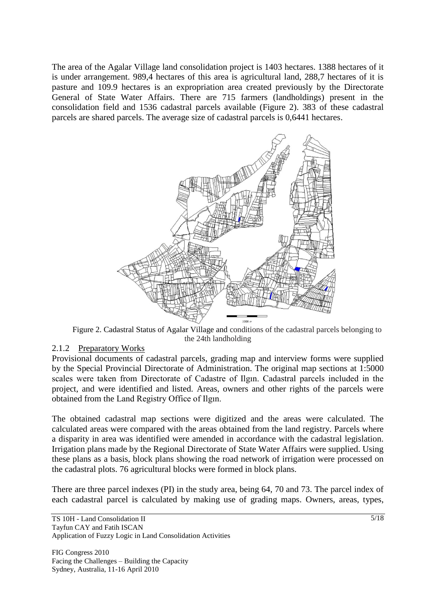The area of the Agalar Village land consolidation project is 1403 hectares. 1388 hectares of it is under arrangement. 989,4 hectares of this area is agricultural land, 288,7 hectares of it is pasture and 109.9 hectares is an expropriation area created previously by the Directorate General of State Water Affairs. There are 715 farmers (landholdings) present in the consolidation field and 1536 cadastral parcels available (Figure 2). 383 of these cadastral parcels are shared parcels. The average size of cadastral parcels is 0,6441 hectares.



Figure 2. Cadastral Status of Agalar Village and conditions of the cadastral parcels belonging to the 24th landholding

### 2.1.2 Preparatory Works

Provisional documents of cadastral parcels, grading map and interview forms were supplied by the Special Provincial Directorate of Administration. The original map sections at 1:5000 scales were taken from Directorate of Cadastre of Ilgın. Cadastral parcels included in the project, and were identified and listed. Areas, owners and other rights of the parcels were obtained from the Land Registry Office of Ilgın.

The obtained cadastral map sections were digitized and the areas were calculated. The calculated areas were compared with the areas obtained from the land registry. Parcels where a disparity in area was identified were amended in accordance with the cadastral legislation. Irrigation plans made by the Regional Directorate of State Water Affairs were supplied. Using these plans as a basis, block plans showing the road network of irrigation were processed on the cadastral plots. 76 agricultural blocks were formed in block plans.

There are three parcel indexes (PI) in the study area, being 64, 70 and 73. The parcel index of each cadastral parcel is calculated by making use of grading maps. Owners, areas, types,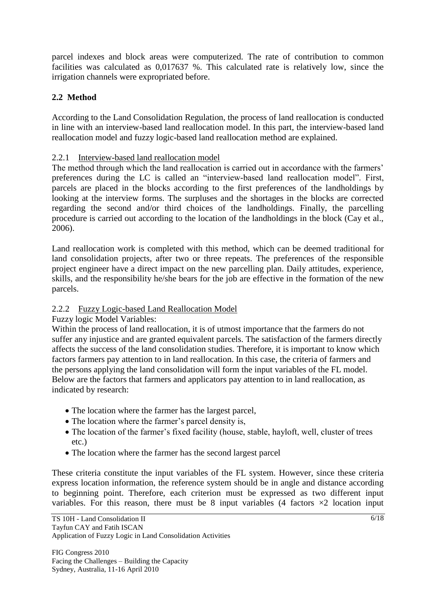parcel indexes and block areas were computerized. The rate of contribution to common facilities was calculated as 0,017637 %. This calculated rate is relatively low, since the irrigation channels were expropriated before.

# **2.2 Method**

According to the Land Consolidation Regulation, the process of land reallocation is conducted in line with an interview-based land reallocation model. In this part, the interview-based land reallocation model and fuzzy logic-based land reallocation method are explained.

### 2.2.1 Interview-based land reallocation model

The method through which the land reallocation is carried out in accordance with the farmers' preferences during the LC is called an "interview-based land reallocation model". First, parcels are placed in the blocks according to the first preferences of the landholdings by looking at the interview forms. The surpluses and the shortages in the blocks are corrected regarding the second and/or third choices of the landholdings. Finally, the parcelling procedure is carried out according to the location of the landholdings in the block (Cay et al., 2006).

Land reallocation work is completed with this method, which can be deemed traditional for land consolidation projects, after two or three repeats. The preferences of the responsible project engineer have a direct impact on the new parcelling plan. Daily attitudes, experience, skills, and the responsibility he/she bears for the job are effective in the formation of the new parcels.

### 2.2.2 Fuzzy Logic-based Land Reallocation Model

Fuzzy logic Model Variables:

Within the process of land reallocation, it is of utmost importance that the farmers do not suffer any injustice and are granted equivalent parcels. The satisfaction of the farmers directly affects the success of the land consolidation studies. Therefore, it is important to know which factors farmers pay attention to in land reallocation. In this case, the criteria of farmers and the persons applying the land consolidation will form the input variables of the FL model. Below are the factors that farmers and applicators pay attention to in land reallocation, as indicated by research:

- The location where the farmer has the largest parcel,
- The location where the farmer's parcel density is,
- The location of the farmer's fixed facility (house, stable, hayloft, well, cluster of trees etc.)
- The location where the farmer has the second largest parcel

These criteria constitute the input variables of the FL system. However, since these criteria express location information, the reference system should be in angle and distance according to beginning point. Therefore, each criterion must be expressed as two different input variables. For this reason, there must be 8 input variables (4 factors  $\times$ 2 location input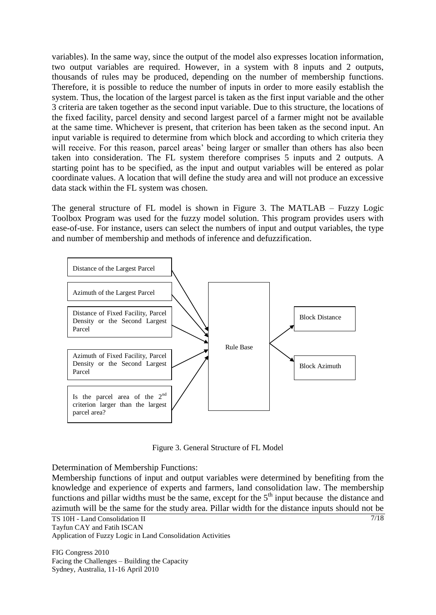variables). In the same way, since the output of the model also expresses location information, two output variables are required. However, in a system with 8 inputs and 2 outputs, thousands of rules may be produced, depending on the number of membership functions. Therefore, it is possible to reduce the number of inputs in order to more easily establish the system. Thus, the location of the largest parcel is taken as the first input variable and the other 3 criteria are taken together as the second input variable. Due to this structure, the locations of the fixed facility, parcel density and second largest parcel of a farmer might not be available at the same time. Whichever is present, that criterion has been taken as the second input. An input variable is required to determine from which block and according to which criteria they will receive. For this reason, parcel areas' being larger or smaller than others has also been taken into consideration. The FL system therefore comprises 5 inputs and 2 outputs. A starting point has to be specified, as the input and output variables will be entered as polar coordinate values. A location that will define the study area and will not produce an excessive data stack within the FL system was chosen.

The general structure of FL model is shown in Figure 3. The MATLAB – Fuzzy Logic Toolbox Program was used for the fuzzy model solution. This program provides users with ease-of-use. For instance, users can select the numbers of input and output variables, the type and number of membership and methods of inference and defuzzification.



Figure 3. General Structure of FL Model

Determination of Membership Functions:

Membership functions of input and output variables were determined by benefiting from the knowledge and experience of experts and farmers, land consolidation law. The membership functions and pillar widths must be the same, except for the  $5<sup>th</sup>$  input because the distance and azimuth will be the same for the study area. Pillar width for the distance inputs should not be

TS 10H - Land Consolidation II Tayfun CAY and Fatih ISCAN Application of Fuzzy Logic in Land Consolidation Activities

FIG Congress 2010 Facing the Challenges – Building the Capacity Sydney, Australia, 11-16 April 2010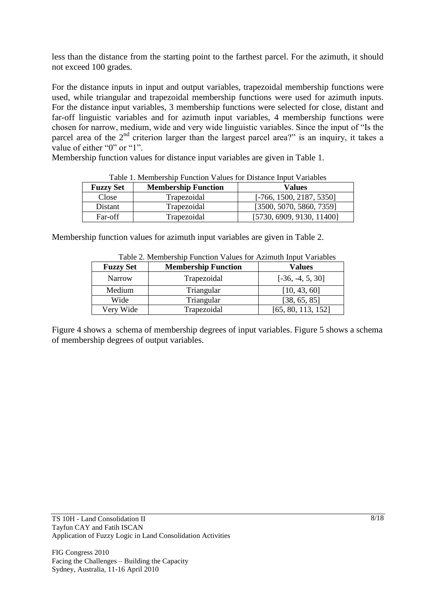less than the distance from the starting point to the farthest parcel. For the azimuth, it should not exceed 100 grades.

For the distance inputs in input and output variables, trapezoidal membership functions were used, while triangular and trapezoidal membership functions were used for azimuth inputs. For the distance input variables, 3 membership functions were selected for close, distant and far-off linguistic variables and for azimuth input variables, 4 membership functions were chosen for narrow, medium, wide and very wide linguistic variables. Since the input of "Is the parcel area of the 2<sup>nd</sup> criterion larger than the largest parcel area?" is an inquiry, it takes a value of either "0" or "1".

Membership function values for distance input variables are given in Table 1.

| * WUIT II I'LTIIU TIIIU A VIITTI I WITTI I WITTU IUI AF IUTTIIT AINU YN 'I WIITTU F |                            |                            |  |
|-------------------------------------------------------------------------------------|----------------------------|----------------------------|--|
| <b>Fuzzy Set</b>                                                                    | <b>Membership Function</b> | <b>Values</b>              |  |
| Close                                                                               | Trapezoidal                | $[-766, 1500, 2187, 5350]$ |  |
| Distant                                                                             | Trapezoidal                | [3500, 5070, 5860, 7359]   |  |
| Far-off                                                                             | Trapezoidal                | [5730, 6909, 9130, 11400]  |  |

Table 1. Membership Function Values for Distance Input Variables

Membership function values for azimuth input variables are given in Table 2.

| <b>Fuzzy Set</b><br><b>Membership Function</b> |             | <b>Values</b>      |
|------------------------------------------------|-------------|--------------------|
| <b>Narrow</b>                                  | Trapezoidal | $[-36, -4, 5, 30]$ |
| Medium                                         | Triangular  | [10, 43, 60]       |
| Wide                                           | Triangular  | [38, 65, 85]       |
| Very Wide                                      | Trapezoidal | [65, 80, 113, 152] |

Table 2. Membership Function Values for Azimuth Input Variables

Figure 4 shows a schema of membership degrees of input variables. Figure 5 shows a schema of membership degrees of output variables.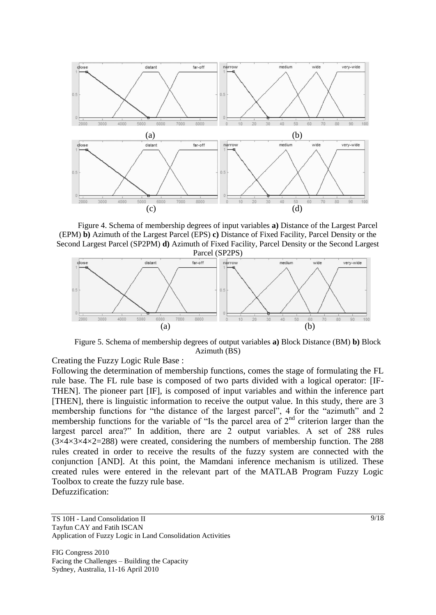

Figure 4. Schema of membership degrees of input variables **a)** Distance of the Largest Parcel (EPM) **b)** Azimuth of the Largest Parcel (EPS) **c)** Distance of Fixed Facility, Parcel Density or the Second Largest Parcel (SP2PM) **d)** Azimuth of Fixed Facility, Parcel Density or the Second Largest Parcel (SP2PS)



Figure 5. Schema of membership degrees of output variables **a)** Block Distance (BM) **b)** Block Azimuth (BS)

Creating the Fuzzy Logic Rule Base :

Following the determination of membership functions, comes the stage of formulating the FL rule base. The FL rule base is composed of two parts divided with a logical operator: [IF-THEN]. The pioneer part [IF], is composed of input variables and within the inference part [THEN], there is linguistic information to receive the output value. In this study, there are 3 membership functions for "the distance of the largest parcel", 4 for the "azimuth" and 2 membership functions for the variable of "Is the parcel area of  $2<sup>nd</sup>$  criterion larger than the largest parcel area?" In addition, there are 2 output variables. A set of 288 rules  $(3\times4\times3\times4\times2=288)$  were created, considering the numbers of membership function. The 288 rules created in order to receive the results of the fuzzy system are connected with the conjunction [AND]. At this point, the Mamdani inference mechanism is utilized. These created rules were entered in the relevant part of the MATLAB Program Fuzzy Logic Toolbox to create the fuzzy rule base.

Defuzzification:

TS 10H - Land Consolidation II Tayfun CAY and Fatih ISCAN Application of Fuzzy Logic in Land Consolidation Activities

FIG Congress 2010 Facing the Challenges – Building the Capacity Sydney, Australia, 11-16 April 2010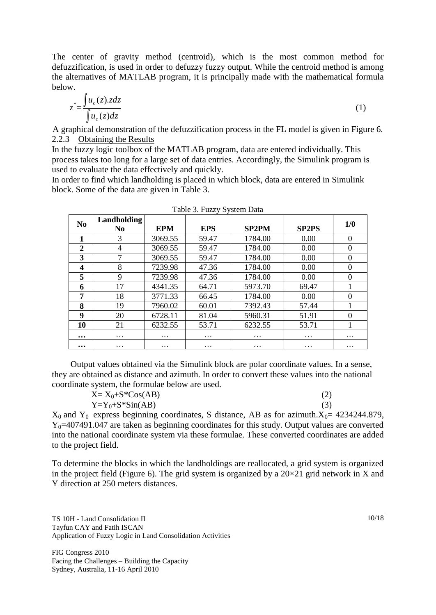The center of gravity method (centroid), which is the most common method for defuzzification, is used in order to defuzzy fuzzy output. While the centroid method is among the alternatives of MATLAB program, it is principally made with the mathematical formula below.

$$
z^* = \frac{\int u_c(z) \cdot z \, dz}{\int u_c(z) \, dz} \tag{1}
$$

A graphical demonstration of the defuzzification process in the FL model is given in Figure 6. 2.2.3 Obtaining the Results

In the fuzzy logic toolbox of the MATLAB program, data are entered individually. This process takes too long for a large set of data entries. Accordingly, the Simulink program is used to evaluate the data effectively and quickly.

In order to find which landholding is placed in which block, data are entered in Simulink block. Some of the data are given in Table 3.

| Table 3. Fuzzy System Data |                               |            |            |              |              |          |
|----------------------------|-------------------------------|------------|------------|--------------|--------------|----------|
| N <sub>0</sub>             | Landholding<br>N <sub>0</sub> | <b>EPM</b> | <b>EPS</b> | <b>SP2PM</b> | <b>SP2PS</b> | 1/0      |
| 1                          | 3                             | 3069.55    | 59.47      | 1784.00      | 0.00         | $\theta$ |
| $\boldsymbol{2}$           | 4                             | 3069.55    | 59.47      | 1784.00      | 0.00         | $\Omega$ |
| 3                          | 7                             | 3069.55    | 59.47      | 1784.00      | 0.00         | $\Omega$ |
| 4                          | 8                             | 7239.98    | 47.36      | 1784.00      | 0.00         | $\Omega$ |
| 5                          | 9                             | 7239.98    | 47.36      | 1784.00      | 0.00         | $\Omega$ |
| 6                          | 17                            | 4341.35    | 64.71      | 5973.70      | 69.47        |          |
| 7                          | 18                            | 3771.33    | 66.45      | 1784.00      | 0.00         | $\Omega$ |
| 8                          | 19                            | 7960.02    | 60.01      | 7392.43      | 57.44        |          |
| 9                          | 20                            | 6728.11    | 81.04      | 5960.31      | 51.91        | $\Omega$ |
| 10                         | 21                            | 6232.55    | 53.71      | 6232.55      | 53.71        |          |
| $\bullet\bullet\bullet$    | $\cdot\cdot\cdot$             | .          | .          | .            | $\ddotsc$    | .        |
| $\bullet\bullet\bullet$    | .                             | .          | .          | .            | .            | .        |

Output values obtained via the Simulink block are polar coordinate values. In a sense, they are obtained as distance and azimuth. In order to convert these values into the national coordinate system, the formulae below are used.

| $X = X_0 + S^*Cos(AB)$ | (2) |
|------------------------|-----|
| $Y=Y_0+S*Sin(AB)$      | (3) |

 $X_0$  and  $Y_0$  express beginning coordinates, S distance, AB as for azimuth. $X_0$  = 4234244.879,  $Y_0$ =407491.047 are taken as beginning coordinates for this study. Output values are converted into the national coordinate system via these formulae. These converted coordinates are added to the project field.

To determine the blocks in which the landholdings are reallocated, a grid system is organized in the project field (Figure 6). The grid system is organized by a  $20\times21$  grid network in X and Y direction at 250 meters distances.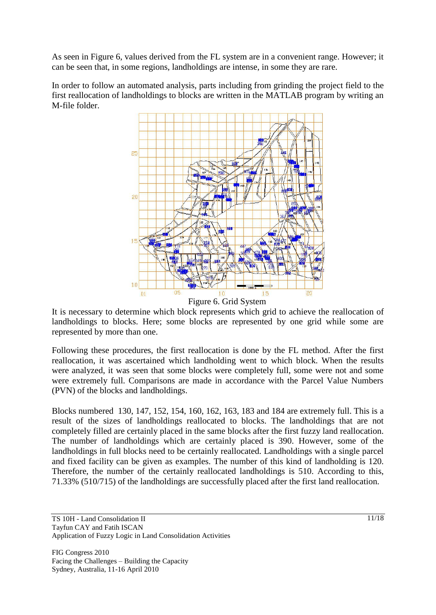As seen in Figure 6, values derived from the FL system are in a convenient range. However; it can be seen that, in some regions, landholdings are intense, in some they are rare.

In order to follow an automated analysis, parts including from grinding the project field to the first reallocation of landholdings to blocks are written in the MATLAB program by writing an M-file folder.



Figure 6. Grid System

It is necessary to determine which block represents which grid to achieve the reallocation of landholdings to blocks. Here; some blocks are represented by one grid while some are represented by more than one.

Following these procedures, the first reallocation is done by the FL method. After the first reallocation, it was ascertained which landholding went to which block. When the results were analyzed, it was seen that some blocks were completely full, some were not and some were extremely full. Comparisons are made in accordance with the Parcel Value Numbers (PVN) of the blocks and landholdings.

Blocks numbered 130, 147, 152, 154, 160, 162, 163, 183 and 184 are extremely full. This is a result of the sizes of landholdings reallocated to blocks. The landholdings that are not completely filled are certainly placed in the same blocks after the first fuzzy land reallocation. The number of landholdings which are certainly placed is 390. However, some of the landholdings in full blocks need to be certainly reallocated. Landholdings with a single parcel and fixed facility can be given as examples. The number of this kind of landholding is 120. Therefore, the number of the certainly reallocated landholdings is 510. According to this, 71.33% (510/715) of the landholdings are successfully placed after the first land reallocation.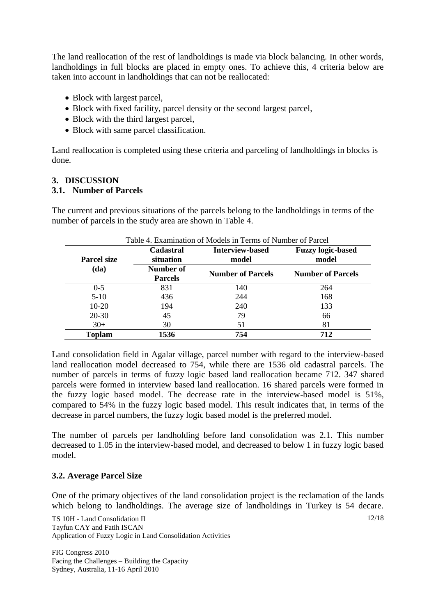The land reallocation of the rest of landholdings is made via block balancing. In other words, landholdings in full blocks are placed in empty ones. To achieve this, 4 criteria below are taken into account in landholdings that can not be reallocated:

- Block with largest parcel,
- Block with fixed facility, parcel density or the second largest parcel,
- Block with the third largest parcel,
- Block with same parcel classification.

Land reallocation is completed using these criteria and parceling of landholdings in blocks is done.

# **3. DISCUSSION**

### **3.1. Number of Parcels**

The current and previous situations of the parcels belong to the landholdings in terms of the number of parcels in the study area are shown in Table 4.

| <b>Parcel size</b> | <b>Cadastral</b><br>situation | <b>Interview-based</b><br>model | <b>Fuzzy logic-based</b><br>model |  |
|--------------------|-------------------------------|---------------------------------|-----------------------------------|--|
| (da)               | Number of<br><b>Parcels</b>   | <b>Number of Parcels</b>        | <b>Number of Parcels</b>          |  |
| $0 - 5$            | 831                           | 140                             | 264                               |  |
| $5-10$             | 436                           | 244                             | 168                               |  |
| $10-20$            | 194                           | 240                             | 133                               |  |
| $20 - 30$          | 45                            | 79                              | 66                                |  |
| $30+$              | 30                            | 51                              | 81                                |  |
| <b>Toplam</b>      | 1536                          | 754                             | 712                               |  |

Land consolidation field in Agalar village, parcel number with regard to the interview-based land reallocation model decreased to 754, while there are 1536 old cadastral parcels. The number of parcels in terms of fuzzy logic based land reallocation became 712. 347 shared parcels were formed in interview based land reallocation. 16 shared parcels were formed in the fuzzy logic based model. The decrease rate in the interview-based model is 51%, compared to 54% in the fuzzy logic based model. This result indicates that, in terms of the decrease in parcel numbers, the fuzzy logic based model is the preferred model.

The number of parcels per landholding before land consolidation was 2.1. This number decreased to 1.05 in the interview-based model, and decreased to below 1 in fuzzy logic based model.

### **3.2. Average Parcel Size**

One of the primary objectives of the land consolidation project is the reclamation of the lands which belong to landholdings. The average size of landholdings in Turkey is 54 decare.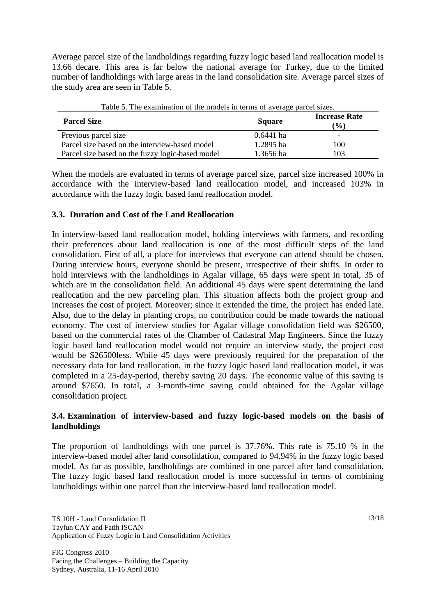Average parcel size of the landholdings regarding fuzzy logic based land reallocation model is 13.66 decare. This area is far below the national average for Turkey, due to the limited number of landholdings with large areas in the land consolidation site. Average parcel sizes of the study area are seen in Table 5.

| Table 5. The examination of the models in terms of average parcel sizes. |               |                                |  |
|--------------------------------------------------------------------------|---------------|--------------------------------|--|
| <b>Parcel Size</b>                                                       | <b>Square</b> | <b>Increase Rate</b><br>$(\%)$ |  |
| Previous parcel size                                                     | $0.6441$ ha   |                                |  |
| Parcel size based on the interview-based model                           | 1.2895 ha     | 100                            |  |
| Parcel size based on the fuzzy logic-based model                         | 1.3656 ha     | 103                            |  |

When the models are evaluated in terms of average parcel size, parcel size increased 100% in accordance with the interview-based land reallocation model, and increased 103% in accordance with the fuzzy logic based land reallocation model.

### **3.3. Duration and Cost of the Land Reallocation**

In interview-based land reallocation model, holding interviews with farmers, and recording their preferences about land reallocation is one of the most difficult steps of the land consolidation. First of all, a place for interviews that everyone can attend should be chosen. During interview hours, everyone should be present, irrespective of their shifts. In order to hold interviews with the landholdings in Agalar village, 65 days were spent in total, 35 of which are in the consolidation field. An additional 45 days were spent determining the land reallocation and the new parceling plan. This situation affects both the project group and increases the cost of project. Moreover; since it extended the time, the project has ended late. Also, due to the delay in planting crops, no contribution could be made towards the national economy. The cost of interview studies for Agalar village consolidation field was \$26500, based on the commercial rates of the Chamber of Cadastral Map Engineers. Since the fuzzy logic based land reallocation model would not require an interview study, the project cost would be \$26500less. While 45 days were previously required for the preparation of the necessary data for land reallocation, in the fuzzy logic based land reallocation model, it was completed in a 25-day-period, thereby saving 20 days. The economic value of this saving is around \$7650. In total, a 3-month-time saving could obtained for the Agalar village consolidation project.

### **3.4. Examination of interview-based and fuzzy logic-based models on the basis of landholdings**

The proportion of landholdings with one parcel is 37.76%. This rate is 75.10 % in the interview-based model after land consolidation, compared to 94.94% in the fuzzy logic based model. As far as possible, landholdings are combined in one parcel after land consolidation. The fuzzy logic based land reallocation model is more successful in terms of combining landholdings within one parcel than the interview-based land reallocation model.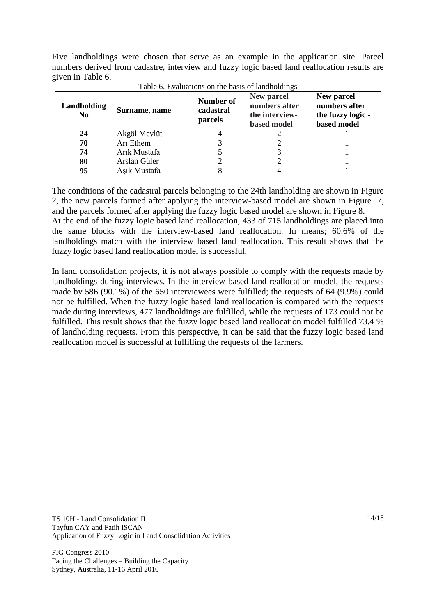Five landholdings were chosen that serve as an example in the application site. Parcel numbers derived from cadastre, interview and fuzzy logic based land reallocation results are given in Table 6.

| Landholding<br>N <sub>0</sub> | Surname, name | Number of<br>cadastral<br>parcels | New parcel<br>numbers after<br>the interview-<br>based model | New parcel<br>numbers after<br>the fuzzy logic -<br>based model |
|-------------------------------|---------------|-----------------------------------|--------------------------------------------------------------|-----------------------------------------------------------------|
| 24                            | Akgöl Mevlüt  |                                   |                                                              |                                                                 |
| 70                            | Arı Ethem     |                                   |                                                              |                                                                 |
| 74                            | Arık Mustafa  |                                   |                                                              |                                                                 |
| 80                            | Arslan Güler  |                                   |                                                              |                                                                 |
| 95                            | Asık Mustafa  |                                   |                                                              |                                                                 |

Table 6. Evaluations on the basis of landholdings

The conditions of the cadastral parcels belonging to the 24th landholding are shown in Figure 2, the new parcels formed after applying the interview-based model are shown in Figure 7, and the parcels formed after applying the fuzzy logic based model are shown in Figure 8. At the end of the fuzzy logic based land reallocation, 433 of 715 landholdings are placed into the same blocks with the interview-based land reallocation. In means; 60.6% of the landholdings match with the interview based land reallocation. This result shows that the fuzzy logic based land reallocation model is successful.

In land consolidation projects, it is not always possible to comply with the requests made by landholdings during interviews. In the interview-based land reallocation model, the requests made by 586 (90.1%) of the 650 interviewees were fulfilled; the requests of 64 (9.9%) could not be fulfilled. When the fuzzy logic based land reallocation is compared with the requests made during interviews, 477 landholdings are fulfilled, while the requests of 173 could not be fulfilled. This result shows that the fuzzy logic based land reallocation model fulfilled 73.4 % of landholding requests. From this perspective, it can be said that the fuzzy logic based land reallocation model is successful at fulfilling the requests of the farmers.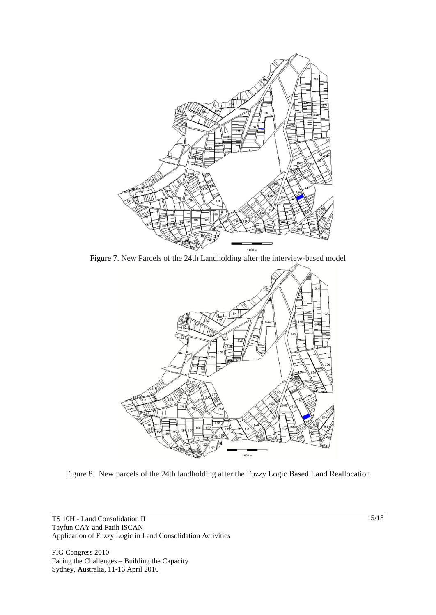

Figure 7. New Parcels of the 24th Landholding after the interview-based model



Figure 8. New parcels of the 24th landholding after the Fuzzy Logic Based Land Reallocation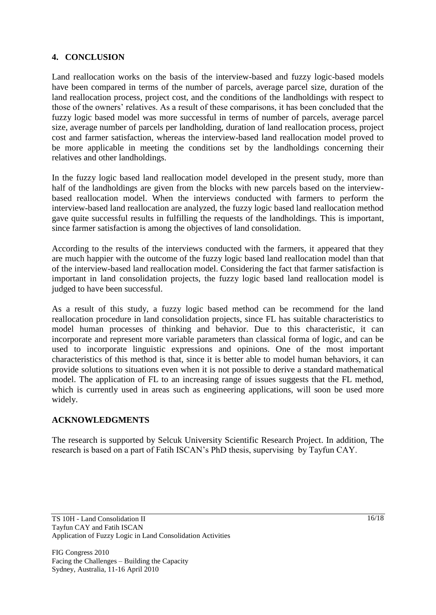### **4. CONCLUSION**

Land reallocation works on the basis of the interview-based and fuzzy logic-based models have been compared in terms of the number of parcels, average parcel size, duration of the land reallocation process, project cost, and the conditions of the landholdings with respect to those of the owners' relatives. As a result of these comparisons, it has been concluded that the fuzzy logic based model was more successful in terms of number of parcels, average parcel size, average number of parcels per landholding, duration of land reallocation process, project cost and farmer satisfaction, whereas the interview-based land reallocation model proved to be more applicable in meeting the conditions set by the landholdings concerning their relatives and other landholdings.

In the fuzzy logic based land reallocation model developed in the present study, more than half of the landholdings are given from the blocks with new parcels based on the interviewbased reallocation model. When the interviews conducted with farmers to perform the interview-based land reallocation are analyzed, the fuzzy logic based land reallocation method gave quite successful results in fulfilling the requests of the landholdings. This is important, since farmer satisfaction is among the objectives of land consolidation.

According to the results of the interviews conducted with the farmers, it appeared that they are much happier with the outcome of the fuzzy logic based land reallocation model than that of the interview-based land reallocation model. Considering the fact that farmer satisfaction is important in land consolidation projects, the fuzzy logic based land reallocation model is judged to have been successful.

As a result of this study, a fuzzy logic based method can be recommend for the land reallocation procedure in land consolidation projects, since FL has suitable characteristics to model human processes of thinking and behavior. Due to this characteristic, it can incorporate and represent more variable parameters than classical forma of logic, and can be used to incorporate linguistic expressions and opinions. One of the most important characteristics of this method is that, since it is better able to model human behaviors, it can provide solutions to situations even when it is not possible to derive a standard mathematical model. The application of FL to an increasing range of issues suggests that the FL method, which is currently used in areas such as engineering applications, will soon be used more widely.

# **ACKNOWLEDGMENTS**

The research is supported by Selcuk University Scientific Research Project. In addition, The research is based on a part of Fatih ISCAN's PhD thesis, supervising by Tayfun CAY.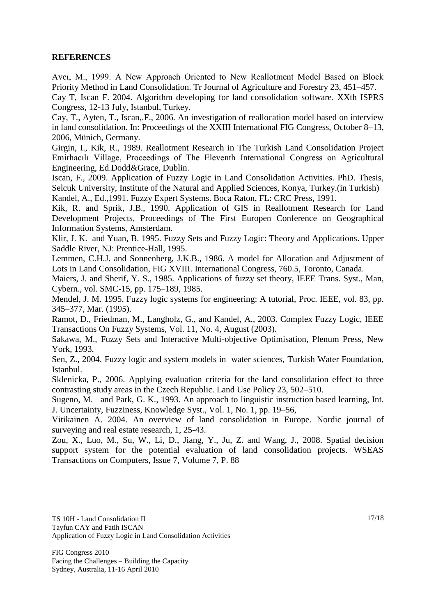### **REFERENCES**

Avcı, M., 1999. A New Approach Oriented to New Reallotment Model Based on Block Priority Method in Land Consolidation. Tr Journal of Agriculture and Forestry 23, 451–457.

Cay T, Iscan F. 2004. Algorithm developing for land consolidation software. XXth ISPRS Congress, 12-13 July, Istanbul, Turkey.

Cay, T., Ayten, T., Iscan,.F., 2006. An investigation of reallocation model based on interview in land consolidation. In: Proceedings of the XXIII International FIG Congress, October 8–13, 2006, Münich, Germany.

Girgin, I., Kik, R., 1989. Reallotment Research in The Turkish Land Consolidation Project Emirhacılı Village, Proceedings of The Eleventh International Congress on Agricultural Engineering, Ed.Dodd&Grace, Dublin.

Iscan, F., 2009. Application of Fuzzy Logic in Land Consolidation Activities. PhD. Thesis, Selcuk University, Institute of the Natural and Applied Sciences, Konya, Turkey.(in Turkish) Kandel, A., Ed.,1991. Fuzzy Expert Systems. Boca Raton, FL: CRC Press, 1991.

Kik, R. and Sprik, J.B., 1990. Application of GIS in Reallotment Research for Land Development Projects, Proceedings of The First Europen Conference on Geographical Information Systems, Amsterdam.

Klir, J. K. and Yuan, B. 1995. Fuzzy Sets and Fuzzy Logic: Theory and Applications. Upper Saddle River, NJ: Prentice-Hall, 1995.

Lemmen, C.H.J. and Sonnenberg, J.K.B., 1986. A model for Allocation and Adjustment of Lots in Land Consolidation, FIG XVIII. International Congress, 760.5, Toronto, Canada.

Maiers, J. and Sherif, Y. S., 1985. Applications of fuzzy set theory, IEEE Trans. Syst., Man, Cybern., vol. SMC-15, pp. 175–189, 1985.

Mendel, J. M. 1995. Fuzzy logic systems for engineering: A tutorial, Proc. IEEE, vol. 83, pp. 345–377, Mar. (1995).

Ramot, D., Friedman, M., Langholz, G., and Kandel, A., 2003. Complex Fuzzy Logic, IEEE Transactions On Fuzzy Systems, Vol. 11, No. 4, August (2003).

Sakawa, M., Fuzzy Sets and Interactive Multi-objective Optimisation, Plenum Press, New York, 1993.

Sen, Z., 2004. Fuzzy logic and system models in water sciences, Turkish Water Foundation, Istanbul.

Sklenicka, P., 2006. Applying evaluation criteria for the land consolidation effect to three contrasting study areas in the Czech Republic. Land Use Policy 23, 502–510.

Sugeno, M. and Park, G. K., 1993. An approach to linguistic instruction based learning, Int. J. Uncertainty, Fuzziness, Knowledge Syst., Vol. 1, No. 1, pp. 19–56,

Vitikainen A. 2004. An overview of land consolidation in Europe. Nordic journal of surveying and real estate research, 1, 25-43.

Zou, X., Luo, M., Su, W., Li, D., Jiang, Y., Ju, Z. and Wang, J., 2008. Spatial decision support system for the potential evaluation of land consolidation projects. WSEAS Transactions on Computers, Issue 7, Volume 7, P. 88